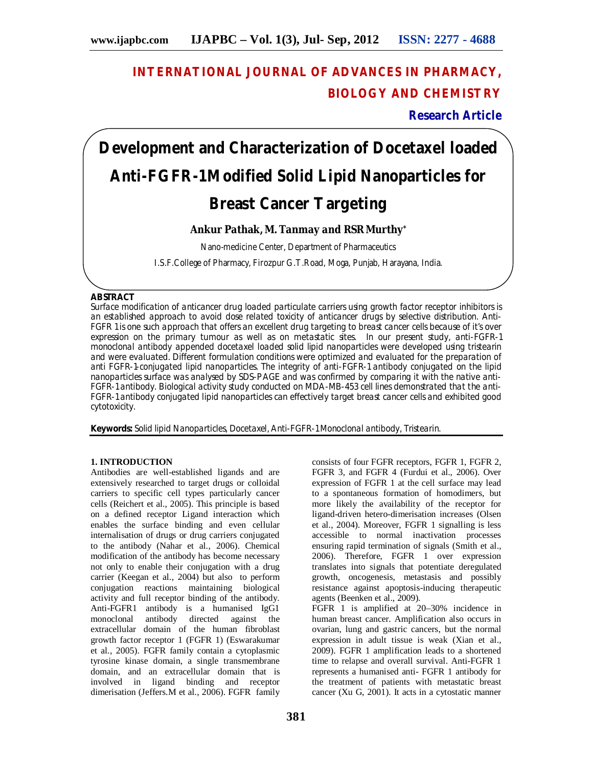# **INTERNATIONAL JOURNAL OF ADVANCES IN PHARMACY, BIOLOGY AND CHEMISTRY**

**Research Article**

# **Development and Characterization of Docetaxel loaded Anti-FGFR-1Modified Solid Lipid Nanoparticles for Breast Cancer Targeting**

# **Ankur Pathak, M. Tanmay and RSR Murthy\***

Nano-medicine Center, Department of Pharmaceutics

I.S.F.College of Pharmacy, Firozpur G.T.Road, Moga, Punjab, Harayana, India.

### **ABSTRACT**

Surface modification of anticancer drug loaded particulate carriers using growth factor receptor inhibitors is an established approach to avoid dose related toxicity of anticancer drugs by selective distribution. Anti-FGFR 1 is one such approach that offers an excellent drug targeting to breast cancer cells because of it's over expression on the primary tumour as well as on metastatic sites. In our present study, anti-FGFR-1 monoclonal antibody appended docetaxel loaded solid lipid nanoparticles were developed using tristearin and were evaluated. Different formulation conditions were optimized and evaluated for the preparation of anti FGFR-1-conjugated lipid nanoparticles. The integrity of anti-FGFR-1 antibody conjugated on the lipid nanoparticles surface was analysed by SDS-PAGE and was confirmed by comparing it with the native anti-FGFR-1 antibody. Biological activity study conducted on MDA-MB-453 cell lines demonstrated that the anti-FGFR-1 antibody conjugated lipid nanoparticles can effectively target breast cancer cells and exhibited good cytotoxicity.

**Keywords:** Solid lipid Nanoparticles, Docetaxel, Anti-FGFR-1 Monoclonal antibody, Tristearin.

## **1. INTRODUCTION**

Antibodies are well-established ligands and are extensively researched to target drugs or colloidal carriers to specific cell types particularly cancer cells (Reichert et al., 2005). This principle is based on a defined receptor Ligand interaction which enables the surface binding and even cellular internalisation of drugs or drug carriers conjugated to the antibody (Nahar et al., 2006). Chemical modification of the antibody has become necessary not only to enable their conjugation with a drug carrier (Keegan et al., 2004) but also to perform conjugation reactions maintaining biological activity and full receptor binding of the antibody. Anti-FGFR1 antibody is a humanised IgG1 monoclonal antibody directed against the extracellular domain of the human fibroblast growth factor receptor 1 (FGFR 1) (Eswarakumar et al., 2005). FGFR family contain a cytoplasmic tyrosine kinase domain, a single transmembrane domain, and an extracellular domain that is involved in ligand binding and receptor dimerisation (Jeffers.M et al., 2006). FGFR family

consists of four FGFR receptors, FGFR 1, FGFR 2, FGFR 3, and FGFR 4 (Furdui et al., 2006). Over expression of FGFR 1 at the cell surface may lead to a spontaneous formation of homodimers, but more likely the availability of the receptor for ligand-driven hetero-dimerisation increases (Olsen et al., 2004). Moreover, FGFR 1 signalling is less accessible to normal inactivation processes ensuring rapid termination of signals (Smith et al., 2006). Therefore, FGFR 1 over expression translates into signals that potentiate deregulated growth, oncogenesis, metastasis and possibly resistance against apoptosis-inducing therapeutic agents (Beenken et al., 2009). FGFR 1 is amplified at 20–30% incidence in human breast cancer. Amplification also occurs in ovarian, lung and gastric cancers, but the normal expression in adult tissue is weak (Xian et al., 2009). FGFR 1 amplification leads to a shortened time to relapse and overall survival. Anti-FGFR 1 represents a humanised anti- FGFR 1 antibody for

the treatment of patients with metastatic breast cancer (Xu G, 2001). It acts in a cytostatic manner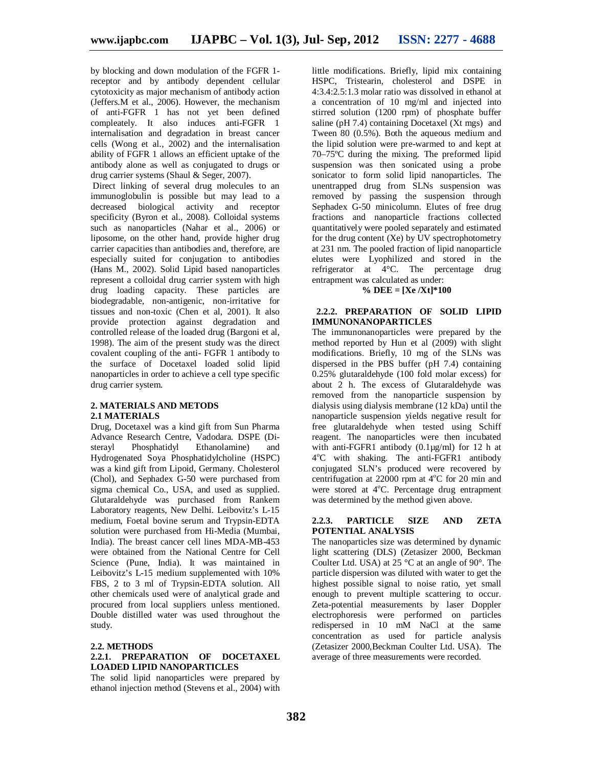by blocking and down modulation of the FGFR 1 receptor and by antibody dependent cellular cytotoxicity as major mechanism of antibody action (Jeffers.M et al., 2006). However, the mechanism of anti-FGFR 1 has not yet been defined compleately. It also induces anti-FGFR 1 internalisation and degradation in breast cancer cells (Wong et al., 2002) and the internalisation ability of FGFR 1 allows an efficient uptake of the antibody alone as well as conjugated to drugs or drug carrier systems (Shaul & Seger, 2007).

Direct linking of several drug molecules to an immunoglobulin is possible but may lead to a decreased biological activity and receptor specificity (Byron et al., 2008). Colloidal systems such as nanoparticles (Nahar et al., 2006) or liposome, on the other hand, provide higher drug carrier capacities than antibodies and, therefore, are especially suited for conjugation to antibodies (Hans M., 2002). Solid Lipid based nanoparticles represent a colloidal drug carrier system with high drug loading capacity. These particles are biodegradable, non-antigenic, non-irritative for tissues and non-toxic (Chen et al, 2001). It also provide protection against degradation and controlled release of the loaded drug (Bargoni et al, 1998). The aim of the present study was the direct covalent coupling of the anti- FGFR 1 antibody to the surface of Docetaxel loaded solid lipid nanoparticles in order to achieve a cell type specific drug carrier system.

#### **2. MATERIALS AND METODS 2.1 MATERIALS**

Drug, Docetaxel was a kind gift from Sun Pharma Advance Research Centre, Vadodara. DSPE (Disterayl Phosphatidyl Ethanolamine) and Hydrogenated Soya Phosphatidylcholine (HSPC) was a kind gift from Lipoid, Germany. Cholesterol (Chol), and Sephadex G-50 were purchased from sigma chemical Co., USA, and used as supplied. Glutaraldehyde was purchased from Rankem Laboratory reagents, New Delhi. Leibovitz's L-15 medium, Foetal bovine serum and Trypsin-EDTA solution were purchased from Hi-Media (Mumbai, India). The breast cancer cell lines MDA-MB-453 were obtained from the National Centre for Cell Science (Pune, India). It was maintained in Leibovitz's L-15 medium supplemented with 10% FBS, 2 to 3 ml of Trypsin-EDTA solution. All other chemicals used were of analytical grade and procured from local suppliers unless mentioned. Double distilled water was used throughout the study.

#### **2.2. METHODS**

#### **2.2.1. PREPARATION OF DOCETAXEL LOADED LIPID NANOPARTICLES**

The solid lipid nanoparticles were prepared by ethanol injection method (Stevens et al., 2004) with

little modifications. Briefly, lipid mix containing HSPC, Tristearin, cholesterol and DSPE in 4:3.4:2.5:1.3 molar ratio was dissolved in ethanol at a concentration of 10 mg/ml and injected into stirred solution (1200 rpm) of phosphate buffer saline (pH 7.4) containing Docetaxel  $(Xt \text{ mgs})$  and Tween 80 (0.5%). Both the aqueous medium and the lipid solution were pre-warmed to and kept at 70–75ºC during the mixing. The preformed lipid suspension was then sonicated using a probe sonicator to form solid lipid nanoparticles. The unentrapped drug from SLNs suspension was removed by passing the suspension through Sephadex G-50 minicolumn. Elutes of free drug fractions and nanoparticle fractions collected quantitatively were pooled separately and estimated for the drug content (Xe) by UV spectrophotometry at 231 nm. The pooled fraction of lipid nanoparticle elutes were Lyophilized and stored in the refrigerator at  $\bar{4}^{\circ}$ C. The percentage drug entrapment was calculated as under:

#### **% DEE = [Xe /Xt]\*100**

#### **2.2.2. PREPARATION OF SOLID LIPID IMMUNONANOPARTICLES**

The immunonanoparticles were prepared by the method reported by Hun et al  $(2009)$  with slight modifications. Briefly, 10 mg of the SLNs was dispersed in the PBS buffer (pH 7.4) containing 0.25% glutaraldehyde (100 fold molar excess) for about 2 h. The excess of Glutaraldehyde was removed from the nanoparticle suspension by dialysis using dialysis membrane (12 kDa) until the nanoparticle suspension yields negative result for free glutaraldehyde when tested using Schiff reagent. The nanoparticles were then incubated with anti-FGFR1 antibody (0.1µg/ml) for 12 h at 4 <sup>ο</sup>C with shaking. The anti-FGFR1 antibody conjugated SLN's produced were recovered by centrifugation at  $22000$  rpm at  $4^{\circ}$ C for 20 min and were stored at 4°C. Percentage drug entrapment was determined by the method given above.

#### **2.2.3. PARTICLE SIZE AND ZETA POTENTIAL ANALYSIS**

The nanoparticles size was determined by dynamic light scattering (DLS) (Zetasizer 2000, Beckman Coulter Ltd. USA) at 25 °C at an angle of 90°. The particle dispersion was diluted with water to get the highest possible signal to noise ratio, yet small enough to prevent multiple scattering to occur. Zeta-potential measurements by laser Doppler electrophoresis were performed on particles redispersed in 10 mM NaCl at the same concentration as used for particle analysis (Zetasizer 2000,Beckman Coulter Ltd. USA). The average of three measurements were recorded.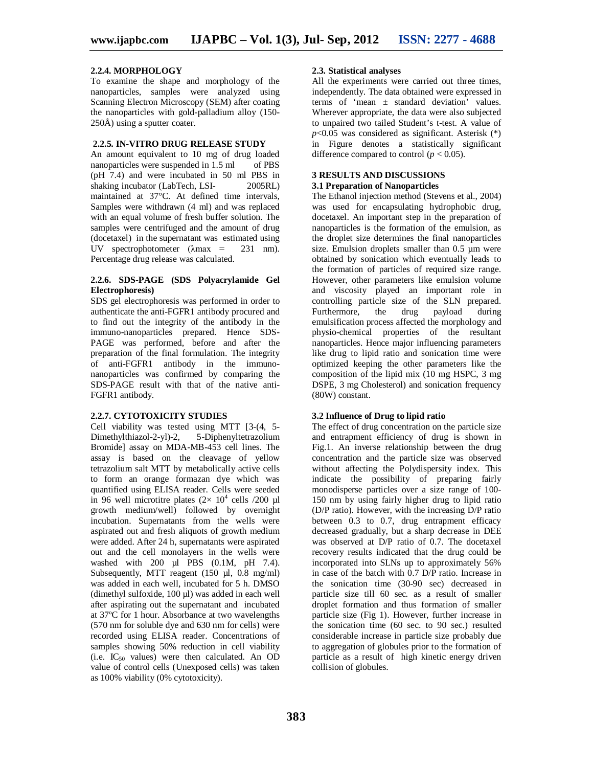#### **2.2.4. MORPHOLOGY**

To examine the shape and morphology of the nanoparticles, samples were analyzed using Scanning Electron Microscopy (SEM) after coating the nanoparticles with gold-palladium alloy (150- 250Å) using a sputter coater.

#### **2.2.5. IN-VITRO DRUG RELEASE STUDY**

An amount equivalent to 10 mg of drug loaded<br>nanoparticles were suspended in 1.5 ml of PBS nanoparticles were suspended in 1.5 ml (pH 7.4) and were incubated in 50 ml PBS in shaking incubator (LabTech, LSI- 2005RL) maintained at 37°C. At defined time intervals, Samples were withdrawn (4 ml) and was replaced with an equal volume of fresh buffer solution. The samples were centrifuged and the amount of drug (docetaxel) in the supernatant was estimated using UV spectrophotometer (λmax = 231 nm). Percentage drug release was calculated.

#### **2.2.6. SDS-PAGE (SDS Polyacrylamide Gel Electrophoresis)**

SDS gel electrophoresis was performed in order to authenticate the anti-FGFR1 antibody procured and to find out the integrity of the antibody in the immuno-nanoparticles prepared. Hence SDS-PAGE was performed, before and after the preparation of the final formulation. The integrity of anti-FGFR1 antibody in the immunonanoparticles was confirmed by comparing the SDS-PAGE result with that of the native anti-FGFR1 antibody.

#### **2.2.7. CYTOTOXICITY STUDIES**

Cell viability was tested using MTT [3-(4, 5- Dimethylthiazol-2-yl)-2, 5-Diphenyltetrazolium Bromide] assay on MDA-MB-453 cell lines. The assay is based on the cleavage of yellow tetrazolium salt MTT by metabolically active cells to form an orange formazan dye which was quantified using ELISA reader. Cells were seeded in 96 well microtitre plates  $(2 \times 10^4 \text{ cells } / 200 \text{ µl})$ growth medium/well) followed by overnight incubation. Supernatants from the wells were aspirated out and fresh aliquots of growth medium were added. After 24 h, supernatants were aspirated out and the cell monolayers in the wells were washed with  $200$  µl PBS  $(0.1M, pH 7.4)$ . Subsequently, MTT reagent (150 µl, 0.8 mg/ml) was added in each well, incubated for 5 h. DMSO (dimethyl sulfoxide, 100 µl) was added in each well after aspirating out the supernatant and incubated at 37ºC for 1 hour. Absorbance at two wavelengths (570 nm for soluble dye and 630 nm for cells) were recorded using ELISA reader. Concentrations of samples showing 50% reduction in cell viability  $(i.e. IC_{50}$  values) were then calculated. An OD value of control cells (Unexposed cells) was taken as 100% viability (0% cytotoxicity).

#### **2.3. Statistical analyses**

All the experiments were carried out three times, independently. The data obtained were expressed in terms of 'mean ± standard deviation' values. Wherever appropriate, the data were also subjected to unpaired two tailed Student's t-test. A value of  $p<0.05$  was considered as significant. Asterisk  $(*)$ in Figure denotes a statistically significant difference compared to control ( $p < 0.05$ ).

# **3 RESULTS AND DISCUSSIONS**

#### **3.1 Preparation of Nanoparticles**

The Ethanol injection method (Stevens et al., 2004) was used for encapsulating hydrophobic drug, docetaxel. An important step in the preparation of nanoparticles is the formation of the emulsion, as the droplet size determines the final nanoparticles size. Emulsion droplets smaller than 0.5 um were obtained by sonication which eventually leads to the formation of particles of required size range. However, other parameters like emulsion volume and viscosity played an important role in controlling particle size of the SLN prepared. Furthermore, the drug payload during emulsification process affected the morphology and physio-chemical properties of the resultant nanoparticles. Hence major influencing parameters like drug to lipid ratio and sonication time were optimized keeping the other parameters like the composition of the lipid mix (10 mg HSPC, 3 mg DSPE, 3 mg Cholesterol) and sonication frequency (80W) constant.

#### **3.2 Influence of Drug to lipid ratio**

The effect of drug concentration on the particle size and entrapment efficiency of drug is shown in Fig.1. An inverse relationship between the drug concentration and the particle size was observed without affecting the Polydispersity index. This indicate the possibility of preparing fairly monodisperse particles over a size range of 100- 150 nm by using fairly higher drug to lipid ratio (D/P ratio). However, with the increasing D/P ratio between 0.3 to 0.7, drug entrapment efficacy decreased gradually, but a sharp decrease in DEE was observed at D/P ratio of 0.7. The docetaxel recovery results indicated that the drug could be incorporated into SLNs up to approximately 56% in case of the batch with 0.7 D/P ratio. Increase in the sonication time (30-90 sec) decreased in particle size till 60 sec. as a result of smaller droplet formation and thus formation of smaller particle size (Fig 1). However, further increase in the sonication time (60 sec. to 90 sec.) resulted considerable increase in particle size probably due to aggregation of globules prior to the formation of particle as a result of high kinetic energy driven collision of globules.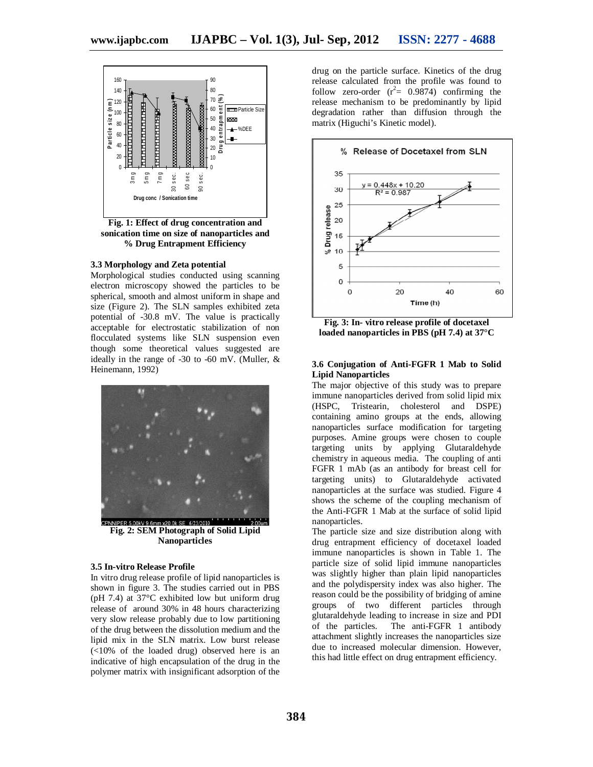

**Fig. 1: Effect of drug concentration and sonication time on size of nanoparticles and % Drug Entrapment Efficiency**

#### **3.3 Morphology and Zeta potential**

Morphological studies conducted using scanning electron microscopy showed the particles to be spherical, smooth and almost uniform in shape and size (Figure 2). The SLN samples exhibited zeta potential of -30.8 mV. The value is practically acceptable for electrostatic stabilization of non flocculated systems like SLN suspension even though some theoretical values suggested are ideally in the range of -30 to -60 mV. (Muller, & Heinemann, 1992)



**Fig. 2: SEM Photograph of Solid Lipid Nanoparticles**

#### **3.5 In-vitro Release Profile**

In vitro drug release profile of lipid nanoparticles is shown in figure 3. The studies carried out in PBS (pH 7.4) at 37°C exhibited low but uniform drug release of around 30% in 48 hours characterizing very slow release probably due to low partitioning of the drug between the dissolution medium and the lipid mix in the SLN matrix. Low burst release (<10% of the loaded drug) observed here is an indicative of high encapsulation of the drug in the polymer matrix with insignificant adsorption of the drug on the particle surface. Kinetics of the drug release calculated from the profile was found to follow zero-order  $(r^2 = 0.9874)$  confirming the release mechanism to be predominantly by lipid degradation rather than diffusion through the matrix (Higuchi's Kinetic model).



**Fig. 3: In- vitro release profile of docetaxel loaded nanoparticles in PBS (pH 7.4) at 37°C**

#### **3.6 Conjugation of Anti-FGFR 1 Mab to Solid Lipid Nanoparticles**

The major objective of this study was to prepare immune nanoparticles derived from solid lipid mix (HSPC, Tristearin, cholesterol and DSPE) containing amino groups at the ends, allowing nanoparticles surface modification for targeting purposes. Amine groups were chosen to couple targeting units by applying Glutaraldehyde chemistry in aqueous media. The coupling of anti FGFR 1 mAb (as an antibody for breast cell for targeting units) to Glutaraldehyde activated nanoparticles at the surface was studied. Figure 4 shows the scheme of the coupling mechanism of the Anti-FGFR 1 Mab at the surface of solid lipid nanoparticles.

The particle size and size distribution along with drug entrapment efficiency of docetaxel loaded immune nanoparticles is shown in Table 1. The particle size of solid lipid immune nanoparticles was slightly higher than plain lipid nanoparticles and the polydispersity index was also higher. The reason could be the possibility of bridging of amine groups of two different particles through glutaraldehyde leading to increase in size and PDI of the particles. The anti-FGFR 1 antibody attachment slightly increases the nanoparticles size due to increased molecular dimension. However, this had little effect on drug entrapment efficiency.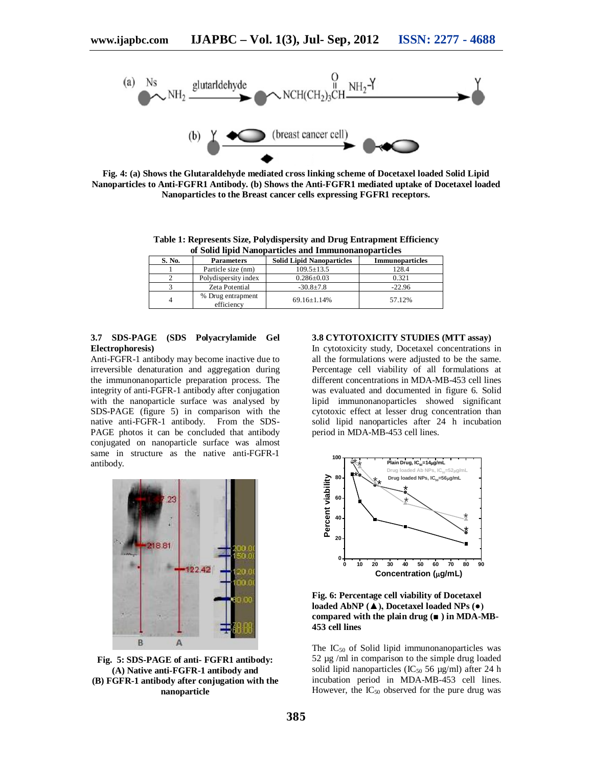

**Fig. 4: (a) Shows the Glutaraldehyde mediated cross linking scheme of Docetaxel loaded Solid Lipid Nanoparticles to Anti-FGFR1 Antibody. (b) Shows the Anti-FGFR1 mediated uptake of Docetaxel loaded Nanoparticles to the Breast cancer cells expressing FGFR1 receptors.**

**Table 1: Represents Size, Polydispersity and Drug Entrapment Efficiency of Solid lipid Nanoparticles and Immunonanoparticles**

| S. No. | <b>Parameters</b>               | <b>Solid Lipid Nanoparticles</b> | <b>Immunoparticles</b> |
|--------|---------------------------------|----------------------------------|------------------------|
|        | Particle size (nm)              | $109.5 \pm 13.5$                 | 128.4                  |
|        | Polydispersity index            | $0.286 \pm 0.03$                 | 0.321                  |
|        | Zeta Potential                  | $-30.8+7.8$                      | $-22.96$               |
| 4      | % Drug entrapment<br>efficiency | $69.16 + 1.14%$                  | 57.12%                 |

#### **3.7 SDS-PAGE (SDS Polyacrylamide Gel Electrophoresis)**

Anti-FGFR-1 antibody may become inactive due to irreversible denaturation and aggregation during the immunonanoparticle preparation process. The integrity of anti-FGFR-1 antibody after conjugation with the nanoparticle surface was analysed by SDS-PAGE (figure 5) in comparison with the native anti-FGFR-1 antibody. From the SDS-PAGE photos it can be concluded that antibody conjugated on nanoparticle surface was almost same in structure as the native anti-FGFR-1 antibody.



**Fig. 5: SDS-PAGE of anti- FGFR1 antibody: (A) Native anti-FGFR-1 antibody and (B) FGFR-1 antibody after conjugation with the nanoparticle**

#### **3.8 CYTOTOXICITY STUDIES (MTT assay)**

In cytotoxicity study, Docetaxel concentrations in all the formulations were adjusted to be the same. Percentage cell viability of all formulations at different concentrations in MDA-MB-453 cell lines was evaluated and documented in figure 6. Solid lipid immunonanoparticles showed significant cytotoxic effect at lesser drug concentration than solid lipid nanoparticles after 24 h incubation period in MDA-MB-453 cell lines.



**Fig. 6: Percentage cell viability of Docetaxel loaded AbNP (▲), Docetaxel loaded NPs (●) compared with the plain drug (■ ) in MDA-MB-453 cell lines**

The  $IC_{50}$  of Solid lipid immunonanoparticles was 52 µg /ml in comparison to the simple drug loaded solid lipid nanoparticles ( $IC_{50}$  56 µg/ml) after 24 h incubation period in MDA-MB-453 cell lines. However, the  $IC_{50}$  observed for the pure drug was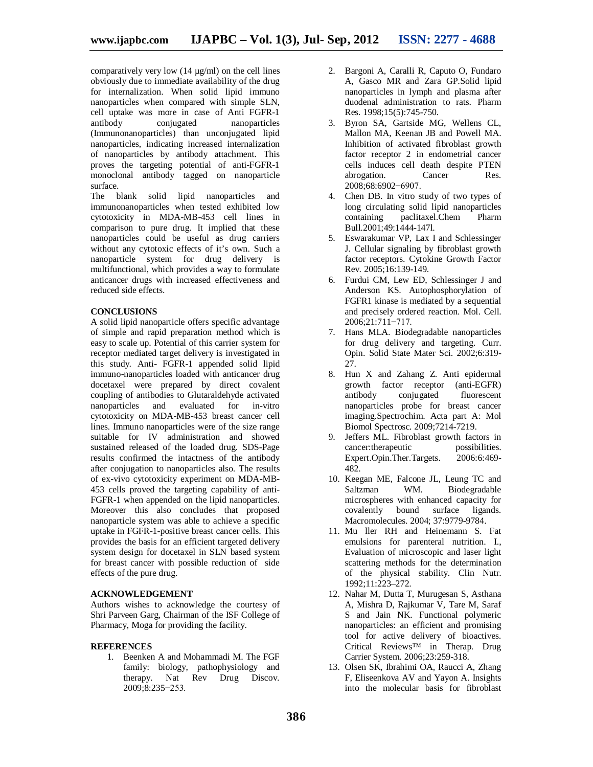comparatively very low  $(14 \mu g/ml)$  on the cell lines obviously due to immediate availability of the drug for internalization. When solid lipid immuno nanoparticles when compared with simple SLN, cell uptake was more in case of Anti FGFR-1 nanoparticles (Immunonanoparticles) than unconjugated lipid nanoparticles, indicating increased internalization of nanoparticles by antibody attachment. This proves the targeting potential of anti-FGFR-1 monoclonal antibody tagged on nanoparticle surface.

The blank solid lipid nanoparticles and immunonanoparticles when tested exhibited low cytotoxicity in MDA-MB-453 cell lines in comparison to pure drug. It implied that these nanoparticles could be useful as drug carriers without any cytotoxic effects of it's own. Such a nanoparticle system for drug delivery is multifunctional, which provides a way to formulate anticancer drugs with increased effectiveness and reduced side effects.

#### **CONCLUSIONS**

A solid lipid nanoparticle offers specific advantage of simple and rapid preparation method which is easy to scale up. Potential of this carrier system for receptor mediated target delivery is investigated in this study. Anti- FGFR-1 appended solid lipid immuno-nanoparticles loaded with anticancer drug docetaxel were prepared by direct covalent coupling of antibodies to Glutaraldehyde activated nanoparticles and evaluated for in-vitro cytotoxicity on MDA-MB-453 breast cancer cell lines. Immuno nanoparticles were of the size range suitable for IV administration and showed sustained released of the loaded drug. SDS-Page results confirmed the intactness of the antibody after conjugation to nanoparticles also. The results of ex-vivo cytotoxicity experiment on MDA-MB-453 cells proved the targeting capability of anti-FGFR-1 when appended on the lipid nanoparticles. Moreover this also concludes that proposed nanoparticle system was able to achieve a specific uptake in FGFR-1-positive breast cancer cells. This provides the basis for an efficient targeted delivery system design for docetaxel in SLN based system for breast cancer with possible reduction of side effects of the pure drug.

#### **ACKNOWLEDGEMENT**

Authors wishes to acknowledge the courtesy of Shri Parveen Garg, Chairman of the ISF College of Pharmacy, Moga for providing the facility.

#### **REFERENCES**

1. Beenken A and Mohammadi M. The FGF family: biology, pathophysiology and therapy. Nat Rev Drug Discov. 2009;8:235−253.

- 2. Bargoni A, Caralli R, Caputo O, Fundaro A, Gasco MR and Zara GP.Solid lipid nanoparticles in lymph and plasma after duodenal administration to rats. Pharm Res. 1998;15(5):745-750.
- 3. Byron SA, Gartside MG, Wellens CL, Mallon MA, Keenan JB and Powell MA. Inhibition of activated fibroblast growth factor receptor 2 in endometrial cancer cells induces cell death despite PTEN<br>abrogation. Cancer Res. abrogation. 2008;68:6902−6907.
- 4. Chen DB. In vitro study of two types of long circulating solid lipid nanoparticles containing paclitaxel.Chem Pharm Bull.2001;49:1444-147l.
- 5. Eswarakumar VP, Lax I and Schlessinger J. Cellular signaling by fibroblast growth factor receptors. Cytokine Growth Factor Rev. 2005;16:139-149.
- 6. Furdui CM, Lew ED, Schlessinger J and Anderson KS. Autophosphorylation of FGFR1 kinase is mediated by a sequential and precisely ordered reaction. Mol. Cell. 2006;21:711−717.
- 7. Hans MLA. Biodegradable nanoparticles for drug delivery and targeting. Curr. Opin. Solid State Mater Sci. 2002;6:319- 27.
- 8. Hun X and Zahang Z. Anti epidermal growth factor receptor (anti-EGFR)<br>antibody conjugated fluorescent antibody conjugated nanoparticles probe for breast cancer imaging.Spectrochim. Acta part A: Mol Biomol Spectrosc. 2009;7214-7219.
- 9. Jeffers ML. Fibroblast growth factors in cancer:therapeutic possibilities.<br>Expert.Opin.Ther.Targets. 2006:6:469-Expert.Opin.Ther.Targets. 482.
- 10. Keegan ME, Falcone JL, Leung TC and<br>Saltzman WM. Biodegradable Saltzman WM. Biodegradable microspheres with enhanced capacity for covalently bound surface ligands. Macromolecules. 2004; 37:9779-9784.
- 11. Mu ller RH and Heinemann S. Fat emulsions for parenteral nutrition. I., Evaluation of microscopic and laser light scattering methods for the determination of the physical stability. Clin Nutr. 1992;11:223–272.
- 12. Nahar M, Dutta T, Murugesan S, Asthana A, Mishra D, Rajkumar V, Tare M, Saraf S and Jain NK. Functional polymeric nanoparticles: an efficient and promising tool for active delivery of bioactives. Critical Reviews™ in Therap. Drug Carrier System. 2006;23:259-318.
- 13. Olsen SK, Ibrahimi OA, Raucci A, Zhang F, Eliseenkova AV and Yayon A. Insights into the molecular basis for fibroblast